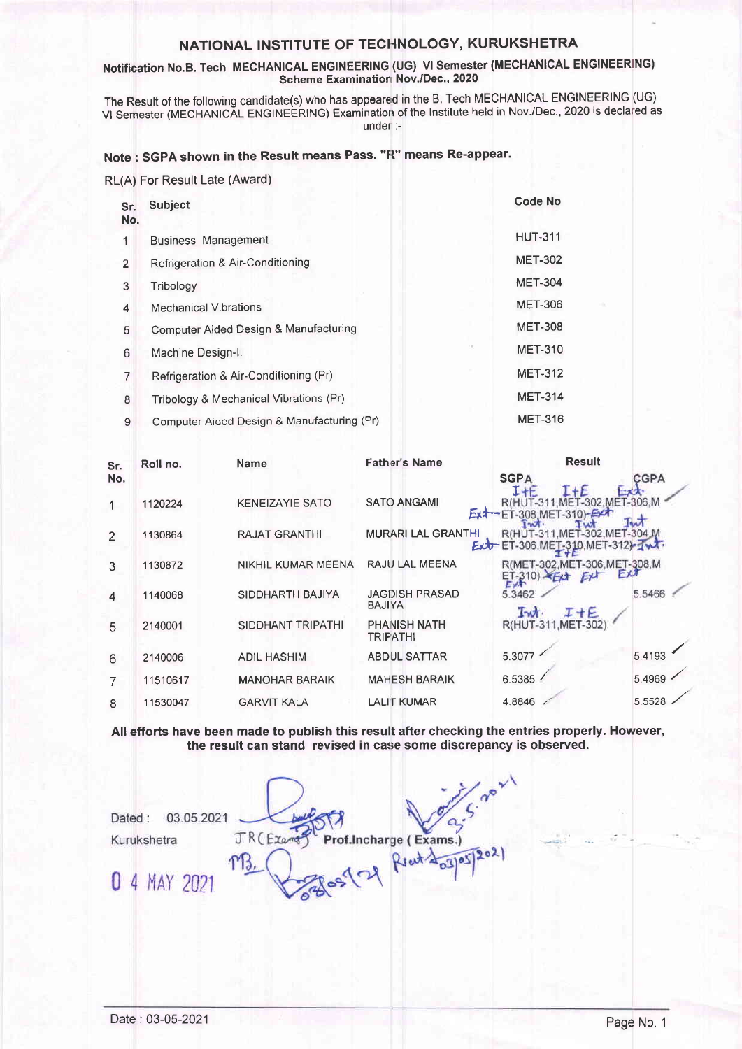# NATIONAL INSTITUTE OF TECHNOLOGY, KURUKSHETRA

#### Notification No.B. Tech MECHANICAL ENGINEERING (UG) VI Semester (MECHANICAL ENGINEERING) Scheme Examination Nov./Dec., 2020

The Result of the following candidate(s) who has appeared in the B. Tech MECHANICAL ENGINEERING (UG) VI Semester (MECHANICAL ENGINEERING) Examination of the Institute held in Nov./Dec., 2020 is declared as under :-

### Note: SGPA shown in the Result means Pass. "R" means Re-appear.

| RL(A) For Result Late (Award) |
|-------------------------------|
|-------------------------------|

| Sr.<br>No.     | Subject                                    | <b>Code No</b> |
|----------------|--------------------------------------------|----------------|
| 1              | <b>Business Management</b>                 | <b>HUT-311</b> |
| $\overline{2}$ | Refrigeration & Air-Conditioning           | <b>MET-302</b> |
| 3              | Tribology                                  | <b>MET-304</b> |
| 4              | <b>Mechanical Vibrations</b>               | <b>MET-306</b> |
| 5              | Computer Aided Design & Manufacturing      | <b>MET-308</b> |
| 6              | Machine Design-II                          | <b>MET-310</b> |
| 7              | Refrigeration & Air-Conditioning (Pr)      | <b>MET-312</b> |
| 8              | Tribology & Mechanical Vibrations (Pr)     | <b>MET-314</b> |
| Q              | Computer Aided Design & Manufacturing (Pr) | <b>MET-316</b> |

| Sr.            | Roll no. | <b>Name</b>            | <b>Father's Name</b>                   | <b>Result</b>                              |            |
|----------------|----------|------------------------|----------------------------------------|--------------------------------------------|------------|
| No.            |          |                        |                                        | <b>SGPA</b><br>$1 + E$                     | CGPA       |
| 1              | 1120224  | <b>KENEIZAYIE SATO</b> | <b>SATO ANGAMI</b><br>Ext <sup>1</sup> | $-302$                                     | MET-306, M |
| $\mathfrak{D}$ | 1130864  | <b>RAJAT GRANTHI</b>   | <b>MURARI LAL GRANTHI</b>              | -302.MET-304.M<br>R(H)<br>$Ext-ET-306.ME$  |            |
| 3              | 1130872  | NIKHIL KUMAR MEENA     | RAJU LAL MEENA                         | R(MET-302, MET-306, MET-308, M<br>$ET-310$ |            |
| $\overline{4}$ | 1140068  | SIDDHARTH BAJIYA       | <b>JAGDISH PRASAD</b><br><b>BAJIYA</b> | 5.3462<br>$I + E$<br>Int                   | 5.5466     |
| 5              | 2140001  | SIDDHANT TRIPATHI      | <b>PHANISH NATH</b><br><b>TRIPATHI</b> | <b>R(HUT-311</b><br>MET-302                |            |
| 6              | 2140006  | <b>ADIL HASHIM</b>     | <b>ABDUL SATTAR</b>                    | 5.3077                                     | 5.4193     |
| 7              | 11510617 | <b>MANOHAR BARAIK</b>  | <b>MAHESH BARAIK</b>                   | 6.5385                                     | 5.4969     |
| 8              | 11530047 | <b>GARVIT KALA</b>     | <b>LALIT KUMAR</b>                     | 4.8846                                     | 5.5528     |

All efforts have been made to publish this result after checking the entries properly. However, the result can stand revised in case some discrepancy is observed.

Prof.Incharge (Exams.) Dated: 03.05.2021 JR (Exams Kurukshetra 0 4 MAY 2021